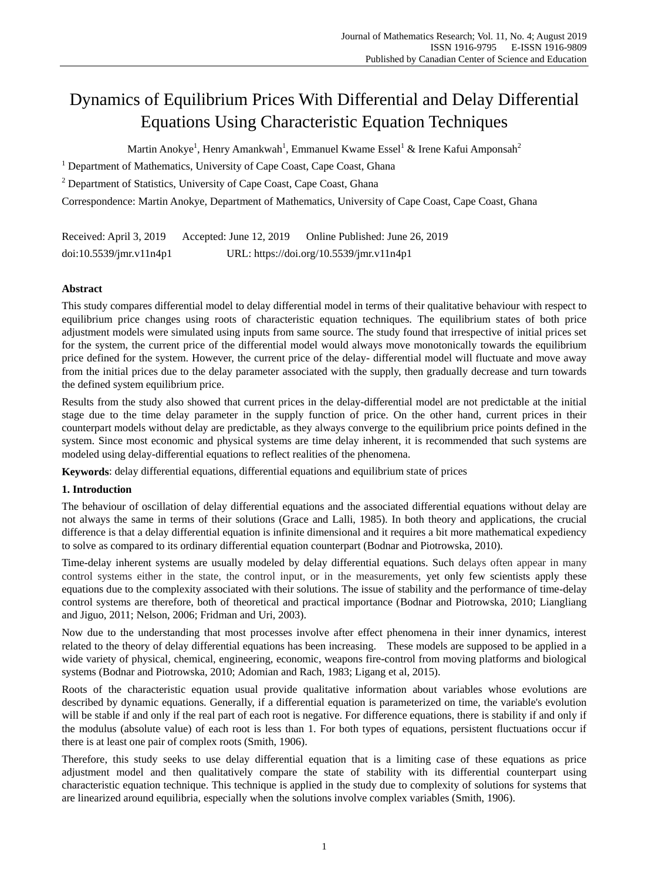# Dynamics of Equilibrium Prices With Differential and Delay Differential Equations Using Characteristic Equation Techniques

Martin Anokye $^{\rm l}$ , Henry Amankwah $^{\rm l}$ , Emmanuel Kwame Essel $^{\rm l}$  & Irene Kafui Amponsah $^{\rm 2}$ 

<sup>1</sup> Department of Mathematics, University of Cape Coast, Cape Coast, Ghana

<sup>2</sup> Department of Statistics, University of Cape Coast, Cape Coast, Ghana

Correspondence: Martin Anokye, Department of Mathematics, University of Cape Coast, Cape Coast, Ghana

Received: April 3, 2019 Accepted: June 12, 2019 Online Published: June 26, 2019 doi:10.5539/jmr.v11n4p1 URL: https://doi.org/10.5539/jmr.v11n4p1

## **Abstract**

This study compares differential model to delay differential model in terms of their qualitative behaviour with respect to equilibrium price changes using roots of characteristic equation techniques. The equilibrium states of both price adjustment models were simulated using inputs from same source. The study found that irrespective of initial prices set for the system, the current price of the differential model would always move monotonically towards the equilibrium price defined for the system. However, the current price of the delay- differential model will fluctuate and move away from the initial prices due to the delay parameter associated with the supply, then gradually decrease and turn towards the defined system equilibrium price.

Results from the study also showed that current prices in the delay-differential model are not predictable at the initial stage due to the time delay parameter in the supply function of price. On the other hand, current prices in their counterpart models without delay are predictable, as they always converge to the equilibrium price points defined in the system. Since most economic and physical systems are time delay inherent, it is recommended that such systems are modeled using delay-differential equations to reflect realities of the phenomena.

**Keywords**: delay differential equations, differential equations and equilibrium state of prices

# **1. Introduction**

The behaviour of oscillation of delay differential equations and the associated differential equations without delay are not always the same in terms of their solutions (Grace and Lalli, 1985). In both theory and applications, the crucial difference is that a delay differential equation is infinite dimensional and it requires a bit more mathematical expediency to solve as compared to its ordinary differential equation counterpart (Bodnar and Piotrowska, 2010).

Time-delay inherent systems are usually modeled by delay differential equations. Such delays often appear in many control systems either in the state, the control input, or in the measurements, yet only few scientists apply these equations due to the complexity associated with their solutions. The issue of stability and the performance of time-delay control systems are therefore, both of theoretical and practical importance (Bodnar and Piotrowska, 2010; Liangliang and Jiguo, 2011; Nelson, 2006; Fridman and Uri, 2003).

Now due to the understanding that most processes involve after effect phenomena in their inner dynamics, interest related to the theory of delay differential equations has been increasing. These models are supposed to be applied in a wide variety of physical, chemical, engineering, economic, weapons fire-control from moving platforms and biological systems (Bodnar and Piotrowska, 2010; Adomian and Rach, 1983; Ligang et al, 2015).

Roots of the characteristic equation usual provide qualitative information about variables whose evolutions are described by dynamic equations. Generally, if a differential equation is parameterized on time, the variable's evolution will be [stable](https://en.wikipedia.org/wiki/Lyapunov_stability) if and only if the [real](https://en.wikipedia.org/wiki/Real_number) part of each root is negative. For difference equations, there is stability if and only if the modulus [\(absolute value\)](https://en.wikipedia.org/wiki/Absolute_value#Complex_numbers) of each root is less than 1. For both types of equations, persistent fluctuations occur if there is at least one pair o[f complex](https://en.wikipedia.org/wiki/Complex_number) roots (Smith, 1906).

Therefore, this study seeks to use delay differential equation that is a limiting case of these equations as price adjustment model and then qualitatively compare the state of stability with its differential counterpart using characteristic equation technique. This technique is applied in the study due to complexity of solutions for systems that are linearized around equilibria, especially when the solutions involve complex variables (Smith, 1906).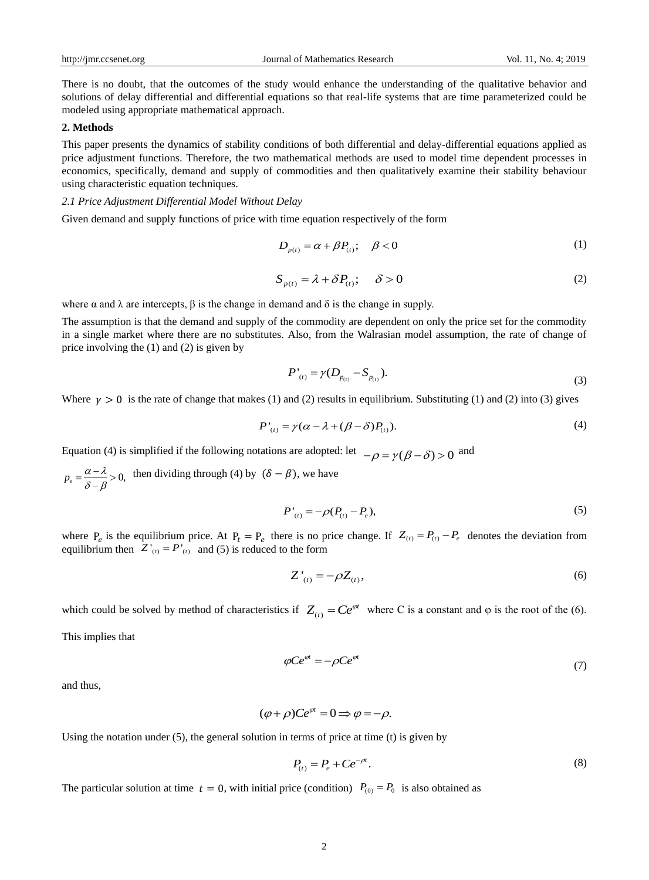There is no doubt, that the outcomes of the study would enhance the understanding of the qualitative behavior and solutions of delay differential and differential equations so that real-life systems that are time parameterized could be modeled using appropriate mathematical approach.

## **2. Methods**

This paper presents the dynamics of stability conditions of both differential and delay-differential equations applied as price adjustment functions. Therefore, the two mathematical methods are used to model time dependent processes in economics, specifically, demand and supply of commodities and then qualitatively examine their stability behaviour using characteristic equation techniques.

## *2.1 Price Adjustment Differential Model Without Delay*

Given demand and supply functions of price with time equation respectively of the form

$$
D_{p(t)} = \alpha + \beta P_{(t)}; \quad \beta < 0 \tag{1}
$$

$$
S_{p(t)} = \lambda + \delta P_{(t)}; \quad \delta > 0
$$
 (2)

where  $\alpha$  and  $\lambda$  are intercepts,  $\beta$  is the change in demand and  $\delta$  is the change in supply.

The assumption is that the demand and supply of the commodity are dependent on only the price set for the commodity in a single market where there are no substitutes. Also, from the Walrasian model assumption, the rate of change of price involving the (1) and (2) is given by

$$
P'_{(t)} = \gamma (D_{p_{(t)}} - S_{p_{(t)}}). \tag{3}
$$

Where  $y > 0$  is the rate of change that makes (1) and (2) results in equilibrium. Substituting (1) and (2) into (3) gives

$$
P'_{(t)} = \gamma(\alpha - \lambda + (\beta - \delta)P_{(t)}).
$$
\n(4)

Equation (4) is simplified if the following notations are adopted: let  $-\rho = \gamma(\beta - \delta) > 0$  and

 $p_e = \frac{\alpha - \lambda}{s} > 0$ , then dividing through (4) by  $(\delta - \beta)$ , we have  $\delta - \beta$  $=\frac{\alpha-\lambda}{\delta-\beta}>0$ 

$$
P'_{(t)} = -\rho (P_{(t)} - P_e),
$$
\n(5)

where  $P_e$  is the equilibrium price. At  $P_t = P_e$  there is no price change. If  $Z_{(t)} = P_{(t)} - P_e$  denotes the deviation from equilibrium then  $Z'_{(t)} = P'_{(t)}$  and (5) is reduced to the form

$$
Z'_{(t)} = -\rho Z_{(t)},\tag{6}
$$

which could be solved by method of characteristics if  $Z_{(t)} = Ce^{\varphi t}$  where C is a constant and  $\varphi$  is the root of the (6).

This implies that

$$
\varphi Ce^{\varphi t} = -\rho Ce^{\varphi t} \tag{7}
$$

and thus,

$$
(\varphi + \rho)Ce^{\varphi t} = 0 \Longrightarrow \varphi = -\rho.
$$

Using the notation under  $(5)$ , the general solution in terms of price at time  $(t)$  is given by

$$
P_{(t)} = P_e + Ce^{-\rho t}.
$$
 (8)

The particular solution at time  $t = 0$ , with initial price (condition)  $P_{(0)} = P_0$  is also obtained as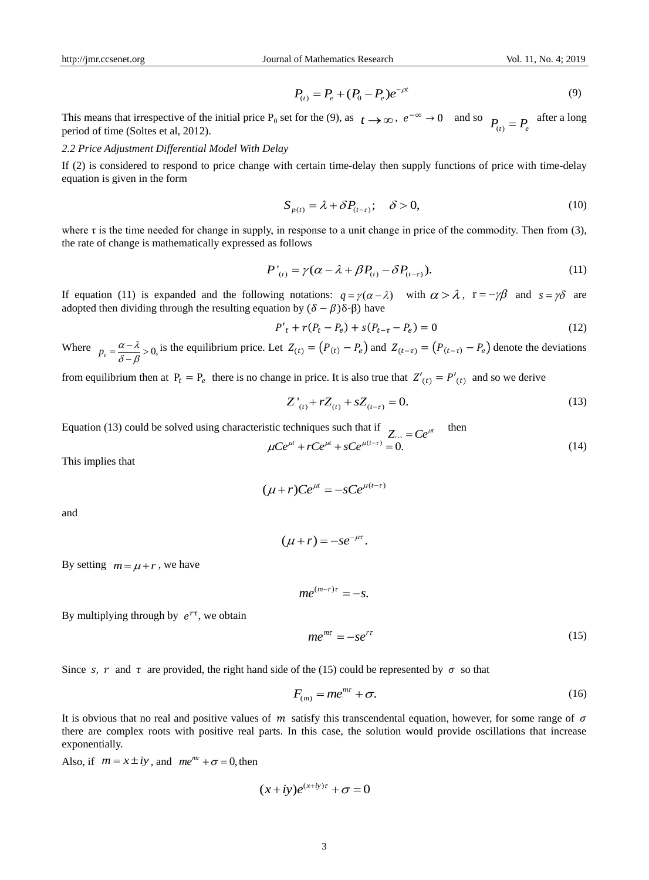$$
P_{(t)} = P_e + (P_0 - P_e)e^{-\rho t}
$$
\n(9)

This means that irrespective of the initial price  $P_0$  set for the (9), as  $t \to \infty$ ,  $e^{-\infty} \to 0$  and so  $P_{(t)} = P_e$  after a long period of time (Soltes et al. 2012) period of time (Soltes et al, 2012).

## *2.2 Price Adjustment Differential Model With Delay*

If (2) is considered to respond to price change with certain time-delay then supply functions of price with time-delay equation is given in the form

$$
S_{p(t)} = \lambda + \delta P_{(t-\tau)}; \quad \delta > 0,
$$
\n(10)

where  $\tau$  is the time needed for change in supply, in response to a unit change in price of the commodity. Then from (3), the rate of change is mathematically expressed as follows

$$
P'_{(t)} = \gamma(\alpha - \lambda + \beta P_{(t)} - \delta P_{(t-\tau)}).
$$
 (11)

If equation (11) is expanded and the following notations:  $q = \gamma(\alpha - \lambda)$  with  $\alpha > \lambda$ ,  $r = -\gamma\beta$  and  $s = \gamma\delta$  are adopted then dividing through the resulting equation by  $(δ – β)δ-β$ ) have

$$
P'_{t} + r(P_{t} - P_{e}) + s(P_{t-\tau} - P_{e}) = 0
$$
\n(12)

Where  $p_e = \frac{\alpha - \lambda}{s} > 0$ , is the equilibrium price. Let  $Z(t) = (P(t) - P_e)$  and  $Z(t-\tau) = (P(t-\tau) - P_e)$  denote the deviations  $\delta - \beta$  $=\frac{\alpha-\lambda}{\delta-\beta}>0$ 

from equilibrium then at  $P_t = P_e$  there is no change in price. It is also true that  $Z'_{(t)} = P'_{(t)}$  and so we derive

$$
Z'_{(t)} + rZ_{(t)} + sZ_{(t-\tau)} = 0.
$$
\n(13)

Equation (13) could be solved using characteristic techniques such that if  $\sigma$ 

$$
\mu Ce^{i\mu} + rCe^{i\mu} + sCe^{i(\ell - \tau)} = 0.
$$
 (14)

This implies that

$$
(\mu+r)Ce^{\mu t}=-sCe^{\mu(t-\tau)}
$$

and

$$
(\mu+r)=-se^{-\mu\tau}.
$$

By setting  $m = \mu + r$ , we have

 $me^{(m-r)\tau} = -s.$ 

By multiplying through by  $e^{r\tau}$ , we obtain

$$
me^{mt} = -se^{rt} \tag{15}
$$

Since s, r and  $\tau$  are provided, the right hand side of the (15) could be represented by  $\sigma$  so that

$$
F_{(m)} = me^{m\tau} + \sigma.
$$
 (16)

It is obvious that no real and positive values of  $m$  satisfy this transcendental equation, however, for some range of  $\sigma$ there are complex roots with positive real parts. In this case, the solution would provide oscillations that increase exponentially.  $me^{m\tau} = -se^{r\tau}$ <br>
side of the (15) could be<br>  $F_{(m)} = me^{m\tau} + \sigma$ <br> *m* satisfy this transce<br>
ts. In this case, the sc<br>  $+ iy)e^{(x+iy)\tau} + \sigma = 0$ 

Also, if  $m = x \pm iy$ , and  $me^{mr} + \sigma = 0$ , then

$$
(x+iy)e^{(x+iy)\tau} + \sigma = 0
$$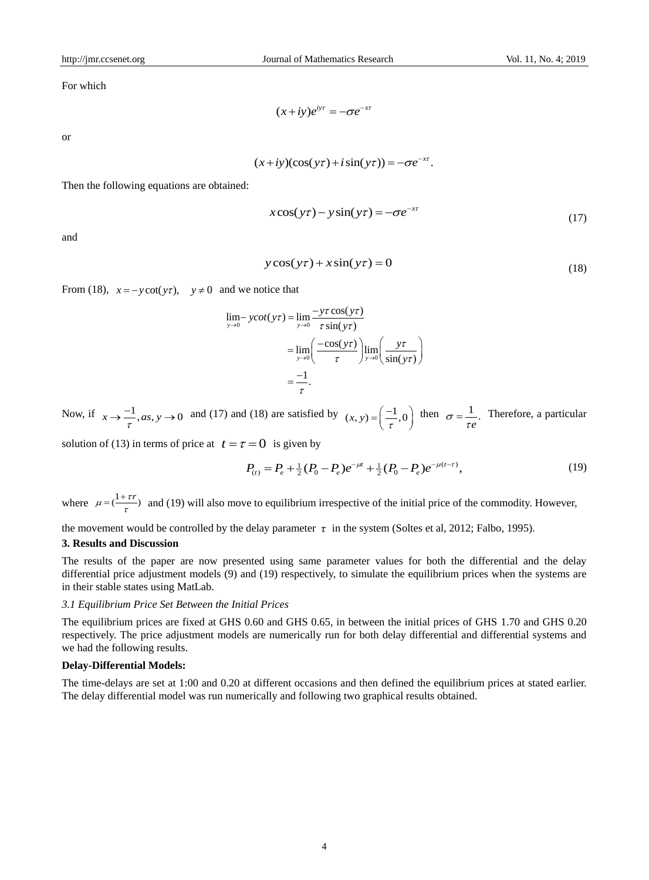For which

$$
(x+iy)e^{iy\tau} = -\sigma e^{-x\tau}
$$

or

$$
(x+iy)(\cos(y\tau)+i\sin(y\tau))=-\sigma e^{-x\tau}.
$$

Then the following equations are obtained:

$$
x\cos(y\tau) - y\sin(y\tau) = -\sigma e^{-x\tau}
$$
\n(17)

and

$$
y\cos(y\tau) + x\sin(y\tau) = 0\tag{18}
$$

From (18), 
$$
x = -y \cot(y\tau)
$$
,  $y \neq 0$  and we notice that  
\n
$$
\lim_{y \to 0} -y \cot(y\tau) = \lim_{y \to 0} \frac{-y\tau \cos(y\tau)}{\tau \sin(y\tau)}
$$
\n
$$
= \lim_{y \to 0} \left( \frac{-\cos(y\tau)}{\tau} \right) \lim_{y \to 0} \left( \frac{y\tau}{\sin(y\tau)} \right)
$$
\n
$$
= \frac{-1}{\tau}.
$$

Now, if  $x \to \frac{-1}{\tau}$ ,  $as, y \to 0$  and (17) and (18) are satisfied by  $(x, y) = \left(\frac{-1}{\tau}, 0\right)$  then  $\sigma = \frac{1}{\tau e}$ . Therefore, a particular  $=\left(\frac{-1}{\tau},0\right)$  then  $\sigma = \frac{1}{\tau e}$ .

solution of (13) in terms of price at  $t = \tau = 0$  is given by

$$
P_{(t)} = P_e + \frac{1}{2}(P_0 - P_e)e^{-\mu t} + \frac{1}{2}(P_0 - P_e)e^{-\mu(t-\tau)},
$$
\n(19)

where  $\mu = \left(\frac{1+\tau r}{\tau}\right)$  and (19) will also move to equilibrium irrespective of the initial price of the commodity. However,  $=\frac{1+}{1}$ 

the movement would be controlled by the delay parameter  $\tau$  in the system (Soltes et al, 2012; Falbo, 1995).

## **3. Results and Discussion**

The results of the paper are now presented using same parameter values for both the differential and the delay differential price adjustment models (9) and (19) respectively, to simulate the equilibrium prices when the systems are in their stable states using MatLab.

## *3.1 Equilibrium Price Set Between the Initial Prices*

The equilibrium prices are fixed at GHS 0.60 and GHS 0.65, in between the initial prices of GHS 1.70 and GHS 0.20 respectively. The price adjustment models are numerically run for both delay differential and differential systems and we had the following results.

#### **Delay-Differential Models:**

The time-delays are set at 1:00 and 0.20 at different occasions and then defined the equilibrium prices at stated earlier. The delay differential model was run numerically and following two graphical results obtained.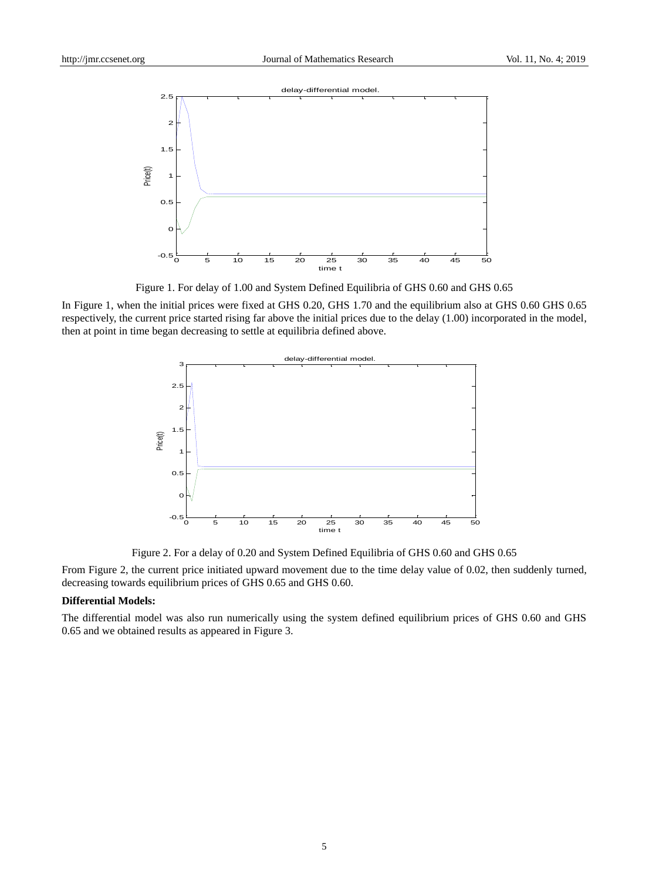

Figure 1. For delay of 1.00 and System Defined Equilibria of GHS 0.60 and GHS 0.65

In Figure 1, when the initial prices were fixed at GHS 0.20, GHS 1.70 and the equilibrium also at GHS 0.60 GHS 0.65 respectively, the current price started rising far above the initial prices due to the delay (1.00) incorporated in the model, then at point in time began decreasing to settle at equilibria defined above.



Figure 2. For a delay of 0.20 and System Defined Equilibria of GHS 0.60 and GHS 0.65

From Figure 2, the current price initiated upward movement due to the time delay value of 0.02, then suddenly turned, decreasing towards equilibrium prices of GHS 0.65 and GHS 0.60.

## **Differential Models:**

The differential model was also run numerically using the system defined equilibrium prices of GHS 0.60 and GHS 0.65 and we obtained results as appeared in Figure 3.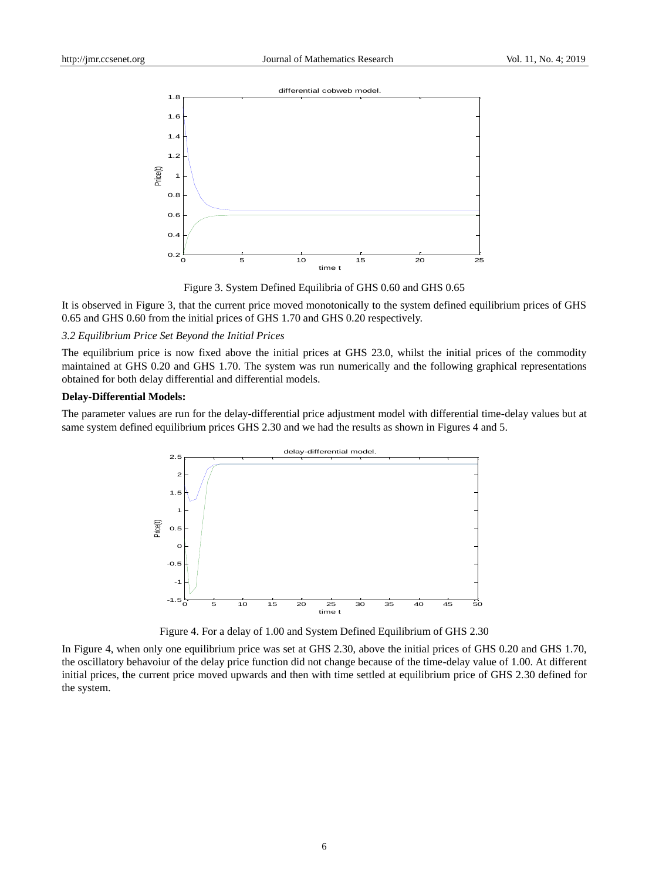

Figure 3. System Defined Equilibria of GHS 0.60 and GHS 0.65

It is observed in Figure 3, that the current price moved monotonically to the system defined equilibrium prices of GHS 0.65 and GHS 0.60 from the initial prices of GHS 1.70 and GHS 0.20 respectively.

#### *3.2 Equilibrium Price Set Beyond the Initial Prices*

The equilibrium price is now fixed above the initial prices at GHS 23.0, whilst the initial prices of the commodity maintained at GHS 0.20 and GHS 1.70. The system was run numerically and the following graphical representations obtained for both delay differential and differential models.

## **Delay-Differential Models:**

The parameter values are run for the delay-differential price adjustment model with differential time-delay values but at same system defined equilibrium prices GHS 2.30 and we had the results as shown in Figures 4 and 5.



Figure 4. For a delay of 1.00 and System Defined Equilibrium of GHS 2.30

In Figure 4, when only one equilibrium price was set at GHS 2.30, above the initial prices of GHS 0.20 and GHS 1.70, the oscillatory behavoiur of the delay price function did not change because of the time-delay value of 1.00. At different initial prices, the current price moved upwards and then with time settled at equilibrium price of GHS 2.30 defined for the system.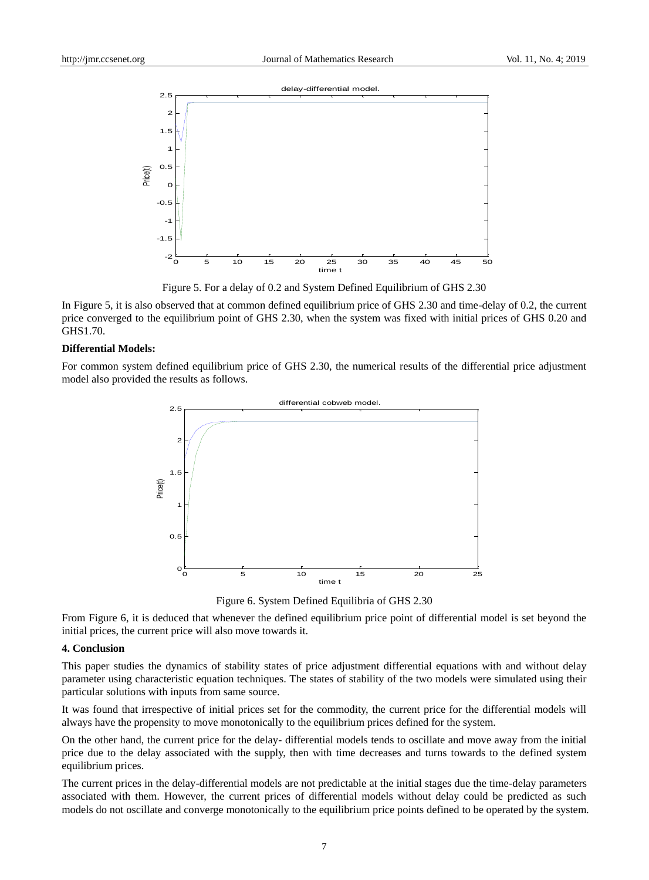

Figure 5. For a delay of 0.2 and System Defined Equilibrium of GHS 2.30

In Figure 5, it is also observed that at common defined equilibrium price of GHS 2.30 and time-delay of 0.2, the current price converged to the equilibrium point of GHS 2.30, when the system was fixed with initial prices of GHS 0.20 and GHS1.70.

#### **Differential Models:**

For common system defined equilibrium price of GHS 2.30, the numerical results of the differential price adjustment model also provided the results as follows.



Figure 6. System Defined Equilibria of GHS 2.30

From Figure 6, it is deduced that whenever the defined equilibrium price point of differential model is set beyond the initial prices, the current price will also move towards it.

## **4. Conclusion**

This paper studies the dynamics of stability states of price adjustment differential equations with and without delay parameter using characteristic equation techniques. The states of stability of the two models were simulated using their particular solutions with inputs from same source.

It was found that irrespective of initial prices set for the commodity, the current price for the differential models will always have the propensity to move monotonically to the equilibrium prices defined for the system.

On the other hand, the current price for the delay- differential models tends to oscillate and move away from the initial price due to the delay associated with the supply, then with time decreases and turns towards to the defined system equilibrium prices.

The current prices in the delay-differential models are not predictable at the initial stages due the time-delay parameters associated with them. However, the current prices of differential models without delay could be predicted as such models do not oscillate and converge monotonically to the equilibrium price points defined to be operated by the system.